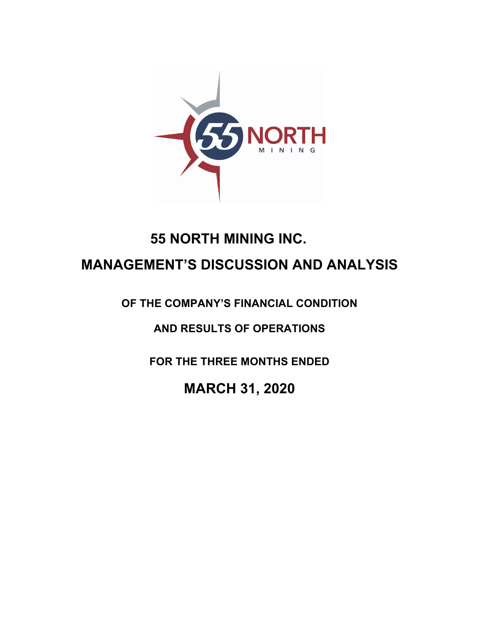

# **55 NORTH MINING INC. MANAGEMENT'S DISCUSSION AND ANALYSIS**

**OF THE COMPANY'S FINANCIAL CONDITION** 

**AND RESULTS OF OPERATIONS** 

**FOR THE THREE MONTHS ENDED**

**MARCH 31, 2020**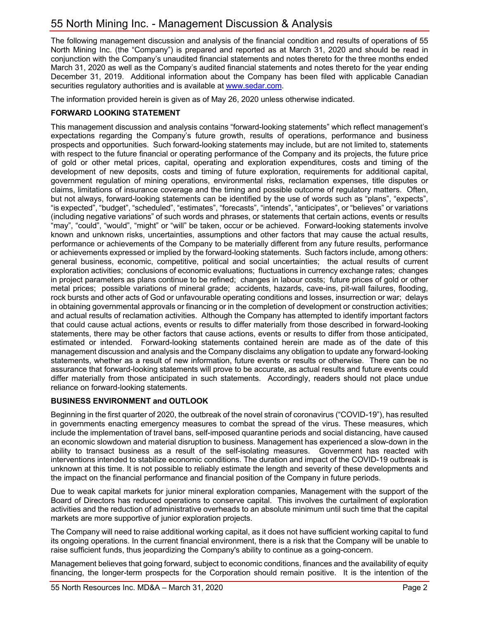The following management discussion and analysis of the financial condition and results of operations of 55 North Mining Inc. (the "Company") is prepared and reported as at March 31, 2020 and should be read in conjunction with the Company's unaudited financial statements and notes thereto for the three months ended March 31, 2020 as well as the Company's audited financial statements and notes thereto for the year ending December 31, 2019. Additional information about the Company has been filed with applicable Canadian securities regulatory authorities and is available at www.sedar.com.

The information provided herein is given as of May 26, 2020 unless otherwise indicated.

# **FORWARD LOOKING STATEMENT**

This management discussion and analysis contains "forward-looking statements" which reflect management's expectations regarding the Company's future growth, results of operations, performance and business prospects and opportunities. Such forward-looking statements may include, but are not limited to, statements with respect to the future financial or operating performance of the Company and its projects, the future price of gold or other metal prices, capital, operating and exploration expenditures, costs and timing of the development of new deposits, costs and timing of future exploration, requirements for additional capital, government regulation of mining operations, environmental risks, reclamation expenses, title disputes or claims, limitations of insurance coverage and the timing and possible outcome of regulatory matters. Often, but not always, forward-looking statements can be identified by the use of words such as "plans", "expects", "is expected", "budget", "scheduled", "estimates", "forecasts", "intends", "anticipates", or "believes" or variations (including negative variations" of such words and phrases, or statements that certain actions, events or results "may", "could", "would", "might" or "will" be taken, occur or be achieved. Forward-looking statements involve known and unknown risks, uncertainties, assumptions and other factors that may cause the actual results, performance or achievements of the Company to be materially different from any future results, performance or achievements expressed or implied by the forward-looking statements. Such factors include, among others: general business, economic, competitive, political and social uncertainties; the actual results of current exploration activities; conclusions of economic evaluations; fluctuations in currency exchange rates; changes in project parameters as plans continue to be refined; changes in labour costs; future prices of gold or other metal prices; possible variations of mineral grade; accidents, hazards, cave-ins, pit-wall failures, flooding, rock bursts and other acts of God or unfavourable operating conditions and losses, insurrection or war; delays in obtaining governmental approvals or financing or in the completion of development or construction activities; and actual results of reclamation activities. Although the Company has attempted to identify important factors that could cause actual actions, events or results to differ materially from those described in forward-looking statements, there may be other factors that cause actions, events or results to differ from those anticipated, estimated or intended. Forward-looking statements contained herein are made as of the date of this management discussion and analysis and the Company disclaims any obligation to update any forward-looking statements, whether as a result of new information, future events or results or otherwise. There can be no assurance that forward-looking statements will prove to be accurate, as actual results and future events could differ materially from those anticipated in such statements. Accordingly, readers should not place undue reliance on forward-looking statements.

# **BUSINESS ENVIRONMENT and OUTLOOK**

Beginning in the first quarter of 2020, the outbreak of the novel strain of coronavirus ("COVID-19"), has resulted in governments enacting emergency measures to combat the spread of the virus. These measures, which include the implementation of travel bans, self-imposed quarantine periods and social distancing, have caused an economic slowdown and material disruption to business. Management has experienced a slow-down in the ability to transact business as a result of the self-isolating measures. Government has reacted with interventions intended to stabilize economic conditions. The duration and impact of the COVID-19 outbreak is unknown at this time. It is not possible to reliably estimate the length and severity of these developments and the impact on the financial performance and financial position of the Company in future periods.

Due to weak capital markets for junior mineral exploration companies, Management with the support of the Board of Directors has reduced operations to conserve capital. This involves the curtailment of exploration activities and the reduction of administrative overheads to an absolute minimum until such time that the capital markets are more supportive of junior exploration projects.

The Company will need to raise additional working capital, as it does not have sufficient working capital to fund its ongoing operations. In the current financial environment, there is a risk that the Company will be unable to raise sufficient funds, thus jeopardizing the Company's ability to continue as a going-concern.

Management believes that going forward, subject to economic conditions, finances and the availability of equity financing, the longer-term prospects for the Corporation should remain positive. It is the intention of the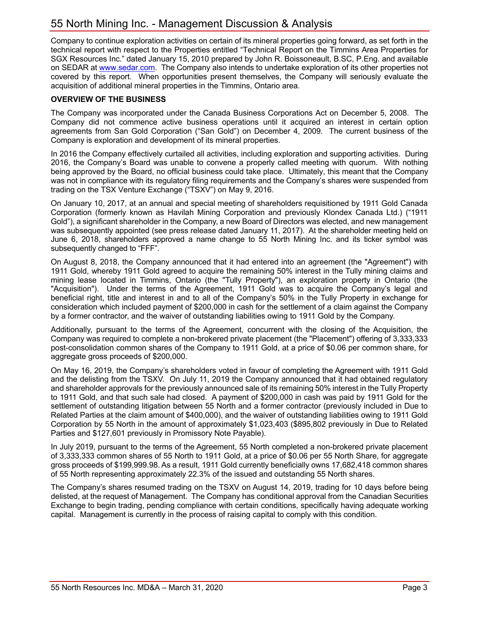# 55 North Mining Inc. - Management Discussion & Analysis

Company to continue exploration activities on certain of its mineral properties going forward, as set forth in the technical report with respect to the Properties entitled "Technical Report on the Timmins Area Properties for SGX Resources Inc." dated January 15, 2010 prepared by John R. Boissoneault, B.SC, P.Eng. and available on SEDAR at www.sedar.com. The Company also intends to undertake exploration of its other properties not covered by this report. When opportunities present themselves, the Company will seriously evaluate the acquisition of additional mineral properties in the Timmins, Ontario area.

#### **OVERVIEW OF THE BUSINESS**

The Company was incorporated under the Canada Business Corporations Act on December 5, 2008. The Company did not commence active business operations until it acquired an interest in certain option agreements from San Gold Corporation ("San Gold") on December 4, 2009. The current business of the Company is exploration and development of its mineral properties.

In 2016 the Company effectively curtailed all activities, including exploration and supporting activities. During 2016, the Company's Board was unable to convene a properly called meeting with quorum. With nothing being approved by the Board, no official business could take place. Ultimately, this meant that the Company was not in compliance with its regulatory filing requirements and the Company's shares were suspended from trading on the TSX Venture Exchange ("TSXV") on May 9, 2016.

On January 10, 2017, at an annual and special meeting of shareholders requisitioned by 1911 Gold Canada Corporation (formerly known as Havilah Mining Corporation and previously Klondex Canada Ltd.) ("1911 Gold"), a significant shareholder in the Company, a new Board of Directors was elected, and new management was subsequently appointed (see press release dated January 11, 2017). At the shareholder meeting held on June 6, 2018, shareholders approved a name change to 55 North Mining Inc. and its ticker symbol was subsequently changed to "FFF".

On August 8, 2018, the Company announced that it had entered into an agreement (the "Agreement") with 1911 Gold, whereby 1911 Gold agreed to acquire the remaining 50% interest in the Tully mining claims and mining lease located in Timmins, Ontario (the "Tully Property"), an exploration property in Ontario (the "Acquisition"). Under the terms of the Agreement, 1911 Gold was to acquire the Company's legal and beneficial right, title and interest in and to all of the Company's 50% in the Tully Property in exchange for consideration which included payment of \$200,000 in cash for the settlement of a claim against the Company by a former contractor, and the waiver of outstanding liabilities owing to 1911 Gold by the Company.

Additionally, pursuant to the terms of the Agreement, concurrent with the closing of the Acquisition, the Company was required to complete a non-brokered private placement (the "Placement") offering of 3,333,333 post-consolidation common shares of the Company to 1911 Gold, at a price of \$0.06 per common share, for aggregate gross proceeds of \$200,000.

On May 16, 2019, the Company's shareholders voted in favour of completing the Agreement with 1911 Gold and the delisting from the TSXV. On July 11, 2019 the Company announced that it had obtained regulatory and shareholder approvals for the previously announced sale of its remaining 50% interest in the Tully Property to 1911 Gold, and that such sale had closed. A payment of \$200,000 in cash was paid by 1911 Gold for the settlement of outstanding litigation between 55 North and a former contractor (previously included in Due to Related Parties at the claim amount of \$400,000), and the waiver of outstanding liabilities owing to 1911 Gold Corporation by 55 North in the amount of approximately \$1,023,403 (\$895,802 previously in Due to Related Parties and \$127,601 previously in Promissory Note Payable).

In July 2019, pursuant to the terms of the Agreement, 55 North completed a non-brokered private placement of 3,333,333 common shares of 55 North to 1911 Gold, at a price of \$0.06 per 55 North Share, for aggregate gross proceeds of \$199,999.98. As a result, 1911 Gold currently beneficially owns 17,682,418 common shares of 55 North representing approximately 22.3% of the issued and outstanding 55 North shares.

The Company's shares resumed trading on the TSXV on August 14, 2019, trading for 10 days before being delisted, at the request of Management. The Company has conditional approval from the Canadian Securities Exchange to begin trading, pending compliance with certain conditions, specifically having adequate working capital. Management is currently in the process of raising capital to comply with this condition.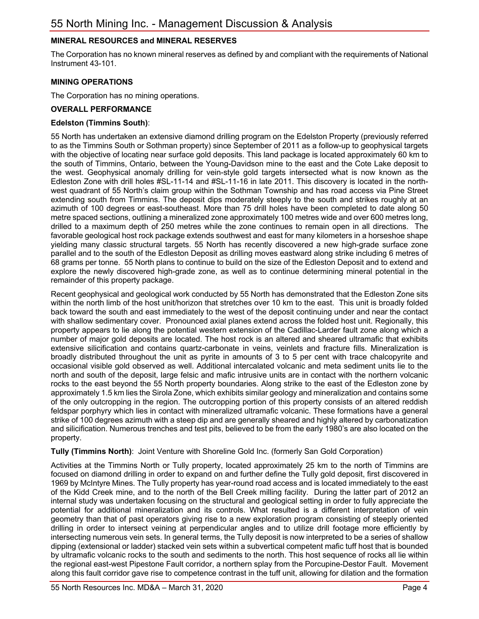# **MINERAL RESOURCES and MINERAL RESERVES**

The Corporation has no known mineral reserves as defined by and compliant with the requirements of National Instrument 43-101.

#### **MINING OPERATIONS**

The Corporation has no mining operations.

#### **OVERALL PERFORMANCE**

#### **Edelston (Timmins South)**:

55 North has undertaken an extensive diamond drilling program on the Edelston Property (previously referred to as the Timmins South or Sothman property) since September of 2011 as a follow-up to geophysical targets with the objective of locating near surface gold deposits. This land package is located approximately 60 km to the south of Timmins, Ontario, between the Young-Davidson mine to the east and the Cote Lake deposit to the west. Geophysical anomaly drilling for vein-style gold targets intersected what is now known as the Edleston Zone with drill holes #SL-11-14 and #SL-11-16 in late 2011. This discovery is located in the northwest quadrant of 55 North's claim group within the Sothman Township and has road access via Pine Street extending south from Timmins. The deposit dips moderately steeply to the south and strikes roughly at an azimuth of 100 degrees or east-southeast. More than 75 drill holes have been completed to date along 50 metre spaced sections, outlining a mineralized zone approximately 100 metres wide and over 600 metres long, drilled to a maximum depth of 250 metres while the zone continues to remain open in all directions. The favorable geological host rock package extends southwest and east for many kilometers in a horseshoe shape yielding many classic structural targets. 55 North has recently discovered a new high-grade surface zone parallel and to the south of the Edleston Deposit as drilling moves eastward along strike including 6 metres of 68 grams per tonne. 55 North plans to continue to build on the size of the Edleston Deposit and to extend and explore the newly discovered high-grade zone, as well as to continue determining mineral potential in the remainder of this property package.

Recent geophysical and geological work conducted by 55 North has demonstrated that the Edleston Zone sits within the north limb of the host unit/horizon that stretches over 10 km to the east. This unit is broadly folded back toward the south and east immediately to the west of the deposit continuing under and near the contact with shallow sedimentary cover. Pronounced axial planes extend across the folded host unit. Regionally, this property appears to lie along the potential western extension of the Cadillac-Larder fault zone along which a number of major gold deposits are located. The host rock is an altered and sheared ultramafic that exhibits extensive silicification and contains quartz-carbonate in veins, veinlets and fracture fills. Mineralization is broadly distributed throughout the unit as pyrite in amounts of 3 to 5 per cent with trace chalcopyrite and occasional visible gold observed as well. Additional intercalated volcanic and meta sediment units lie to the north and south of the deposit, large felsic and mafic intrusive units are in contact with the northern volcanic rocks to the east beyond the 55 North property boundaries. Along strike to the east of the Edleston zone by approximately 1.5 km lies the Sirola Zone, which exhibits similar geology and mineralization and contains some of the only outcropping in the region. The outcropping portion of this property consists of an altered reddish feldspar porphyry which lies in contact with mineralized ultramafic volcanic. These formations have a general strike of 100 degrees azimuth with a steep dip and are generally sheared and highly altered by carbonatization and silicification. Numerous trenches and test pits, believed to be from the early 1980's are also located on the property.

#### **Tully (Timmins North)**: Joint Venture with Shoreline Gold Inc. (formerly San Gold Corporation)

Activities at the Timmins North or Tully property, located approximately 25 km to the north of Timmins are focused on diamond drilling in order to expand on and further define the Tully gold deposit, first discovered in 1969 by McIntyre Mines. The Tully property has year-round road access and is located immediately to the east of the Kidd Creek mine, and to the north of the Bell Creek milling facility. During the latter part of 2012 an internal study was undertaken focusing on the structural and geological setting in order to fully appreciate the potential for additional mineralization and its controls. What resulted is a different interpretation of vein geometry than that of past operators giving rise to a new exploration program consisting of steeply oriented drilling in order to intersect veining at perpendicular angles and to utilize drill footage more efficiently by intersecting numerous vein sets. In general terms, the Tully deposit is now interpreted to be a series of shallow dipping (extensional or ladder) stacked vein sets within a subvertical competent mafic tuff host that is bounded by ultramafic volcanic rocks to the south and sediments to the north. This host sequence of rocks all lie within the regional east-west Pipestone Fault corridor, a northern splay from the Porcupine-Destor Fault. Movement along this fault corridor gave rise to competence contrast in the tuff unit, allowing for dilation and the formation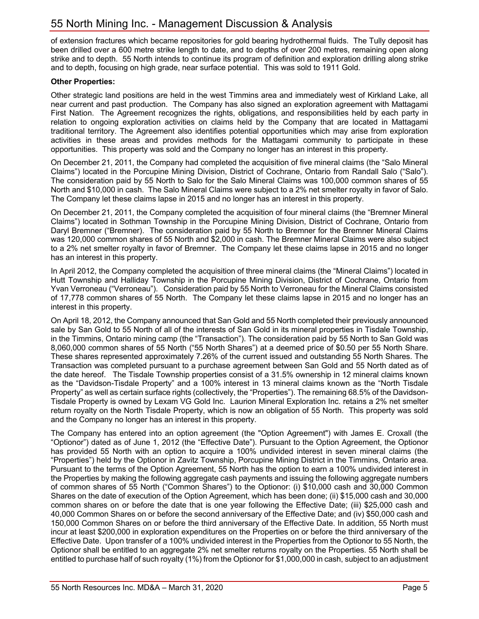of extension fractures which became repositories for gold bearing hydrothermal fluids. The Tully deposit has been drilled over a 600 metre strike length to date, and to depths of over 200 metres, remaining open along strike and to depth. 55 North intends to continue its program of definition and exploration drilling along strike and to depth, focusing on high grade, near surface potential. This was sold to 1911 Gold.

#### **Other Properties:**

Other strategic land positions are held in the west Timmins area and immediately west of Kirkland Lake, all near current and past production. The Company has also signed an exploration agreement with Mattagami First Nation. The Agreement recognizes the rights, obligations, and responsibilities held by each party in relation to ongoing exploration activities on claims held by the Company that are located in Mattagami traditional territory. The Agreement also identifies potential opportunities which may arise from exploration activities in these areas and provides methods for the Mattagami community to participate in these opportunities. This property was sold and the Company no longer has an interest in this property.

On December 21, 2011, the Company had completed the acquisition of five mineral claims (the "Salo Mineral Claims") located in the Porcupine Mining Division, District of Cochrane, Ontario from Randall Salo ("Salo"). The consideration paid by 55 North to Salo for the Salo Mineral Claims was 100,000 common shares of 55 North and \$10,000 in cash. The Salo Mineral Claims were subject to a 2% net smelter royalty in favor of Salo. The Company let these claims lapse in 2015 and no longer has an interest in this property.

On December 21, 2011, the Company completed the acquisition of four mineral claims (the "Bremner Mineral Claims") located in Sothman Township in the Porcupine Mining Division, District of Cochrane, Ontario from Daryl Bremner ("Bremner). The consideration paid by 55 North to Bremner for the Bremner Mineral Claims was 120,000 common shares of 55 North and \$2,000 in cash. The Bremner Mineral Claims were also subject to a 2% net smelter royalty in favor of Bremner. The Company let these claims lapse in 2015 and no longer has an interest in this property.

In April 2012, the Company completed the acquisition of three mineral claims (the "Mineral Claims") located in Hutt Township and Halliday Township in the Porcupine Mining Division, District of Cochrane, Ontario from Yvan Verroneau ("Verroneau"). Consideration paid by 55 North to Verroneau for the Mineral Claims consisted of 17,778 common shares of 55 North. The Company let these claims lapse in 2015 and no longer has an interest in this property.

On April 18, 2012, the Company announced that San Gold and 55 North completed their previously announced sale by San Gold to 55 North of all of the interests of San Gold in its mineral properties in Tisdale Township, in the Timmins, Ontario mining camp (the "Transaction"). The consideration paid by 55 North to San Gold was 8,060,000 common shares of 55 North ("55 North Shares") at a deemed price of \$0.50 per 55 North Share. These shares represented approximately 7.26% of the current issued and outstanding 55 North Shares. The Transaction was completed pursuant to a purchase agreement between San Gold and 55 North dated as of the date hereof. The Tisdale Township properties consist of a 31.5% ownership in 12 mineral claims known as the "Davidson-Tisdale Property" and a 100% interest in 13 mineral claims known as the "North Tisdale Property" as well as certain surface rights (collectively, the "Properties"). The remaining 68.5% of the Davidson-Tisdale Property is owned by Lexam VG Gold Inc. Laurion Mineral Exploration Inc. retains a 2% net smelter return royalty on the North Tisdale Property, which is now an obligation of 55 North. This property was sold and the Company no longer has an interest in this property.

The Company has entered into an option agreement (the "Option Agreement") with James E. Croxall (the "Optionor") dated as of June 1, 2012 (the "Effective Date"). Pursuant to the Option Agreement, the Optionor has provided 55 North with an option to acquire a 100% undivided interest in seven mineral claims (the "Properties") held by the Optionor in Zavitz Township, Porcupine Mining District in the Timmins, Ontario area. Pursuant to the terms of the Option Agreement, 55 North has the option to earn a 100% undivided interest in the Properties by making the following aggregate cash payments and issuing the following aggregate numbers of common shares of 55 North ("Common Shares") to the Optionor: (i) \$10,000 cash and 30,000 Common Shares on the date of execution of the Option Agreement, which has been done; (ii) \$15,000 cash and 30,000 common shares on or before the date that is one year following the Effective Date; (iii) \$25,000 cash and 40,000 Common Shares on or before the second anniversary of the Effective Date; and (iv) \$50,000 cash and 150,000 Common Shares on or before the third anniversary of the Effective Date. In addition, 55 North must incur at least \$200,000 in exploration expenditures on the Properties on or before the third anniversary of the Effective Date. Upon transfer of a 100% undivided interest in the Properties from the Optionor to 55 North, the Optionor shall be entitled to an aggregate 2% net smelter returns royalty on the Properties. 55 North shall be entitled to purchase half of such royalty (1%) from the Optionor for \$1,000,000 in cash, subject to an adjustment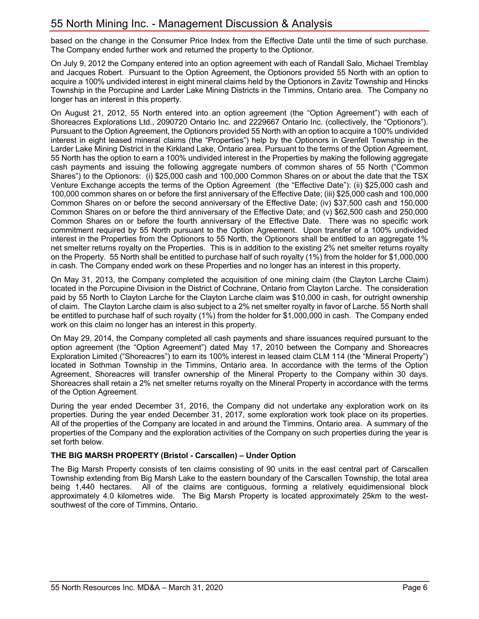# 55 North Mining Inc. - Management Discussion & Analysis

based on the change in the Consumer Price Index from the Effective Date until the time of such purchase. The Company ended further work and returned the property to the Optionor.

On July 9, 2012 the Company entered into an option agreement with each of Randall Salo, Michael Tremblay and Jacques Robert. Pursuant to the Option Agreement, the Optionors provided 55 North with an option to acquire a 100% undivided interest in eight mineral claims held by the Optionors in Zavitz Township and Hincks Township in the Porcupine and Larder Lake Mining Districts in the Timmins, Ontario area. The Company no longer has an interest in this property.

On August 21, 2012, 55 North entered into an option agreement (the "Option Agreement") with each of Shoreacres Explorations Ltd., 2090720 Ontario Inc. and 2229667 Ontario Inc. (collectively, the "Optionors"). Pursuant to the Option Agreement, the Optionors provided 55 North with an option to acquire a 100% undivided interest in eight leased mineral claims (the "Properties") help by the Optionors in Grenfell Township in the Larder Lake Mining District in the Kirkland Lake, Ontario area. Pursuant to the terms of the Option Agreement, 55 North has the option to earn a 100% undivided interest in the Properties by making the following aggregate cash payments and issuing the following aggregate numbers of common shares of 55 North ("Common Shares") to the Optionors: (i) \$25,000 cash and 100,000 Common Shares on or about the date that the TSX Venture Exchange accepts the terms of the Option Agreement (the "Effective Date"): (ii) \$25,000 cash and 100,000 common shares on or before the first anniversary of the Effective Date; (iii) \$25,000 cash and 100,000 Common Shares on or before the second anniversary of the Effective Date; (iv) \$37,500 cash and 150,000 Common Shares on or before the third anniversary of the Effective Date; and (v) \$62,500 cash and 250,000 Common Shares on or before the fourth anniversary of the Effective Date. There was no specific work commitment required by 55 North pursuant to the Option Agreement. Upon transfer of a 100% undivided interest in the Properties from the Optionors to 55 North, the Optionors shall be entitled to an aggregate 1% net smelter returns royalty on the Properties. This is in addition to the existing 2% net smelter returns royalty on the Property. 55 North shall be entitled to purchase half of such royalty (1%) from the holder for \$1,000,000 in cash. The Company ended work on these Properties and no longer has an interest in this property.

On May 31, 2013, the Company completed the acquisition of one mining claim (the Clayton Larche Claim) located in the Porcupine Division in the District of Cochrane, Ontario from Clayton Larche. The consideration paid by 55 North to Clayton Larche for the Clayton Larche claim was \$10,000 in cash, for outright ownership of claim. The Clayton Larche claim is also subject to a 2% net smelter royalty in favor of Larche. 55 North shall be entitled to purchase half of such royalty (1%) from the holder for \$1,000,000 in cash. The Company ended work on this claim no longer has an interest in this property.

On May 29, 2014, the Company completed all cash payments and share issuances required pursuant to the option agreement (the "Option Agreement") dated May 17, 2010 between the Company and Shoreacres Exploration Limited ("Shoreacres") to earn its 100% interest in leased claim CLM 114 (the "Mineral Property") located in Sothman Township in the Timmins, Ontario area. In accordance with the terms of the Option Agreement, Shoreacres will transfer ownership of the Mineral Property to the Company within 30 days. Shoreacres shall retain a 2% net smelter returns royalty on the Mineral Property in accordance with the terms of the Option Agreement.

During the year ended December 31, 2016, the Company did not undertake any exploration work on its properties. During the year ended December 31, 2017, some exploration work took place on its properties. All of the properties of the Company are located in and around the Timmins, Ontario area. A summary of the properties of the Company and the exploration activities of the Company on such properties during the year is set forth below.

#### **THE BIG MARSH PROPERTY (Bristol - Carscallen) – Under Option**

The Big Marsh Property consists of ten claims consisting of 90 units in the east central part of Carscallen Township extending from Big Marsh Lake to the eastern boundary of the Carscallen Township, the total area being 1,440 hectares. All of the claims are contiguous, forming a relatively equidimensional block approximately 4.0 kilometres wide. The Big Marsh Property is located approximately 25km to the westsouthwest of the core of Timmins, Ontario.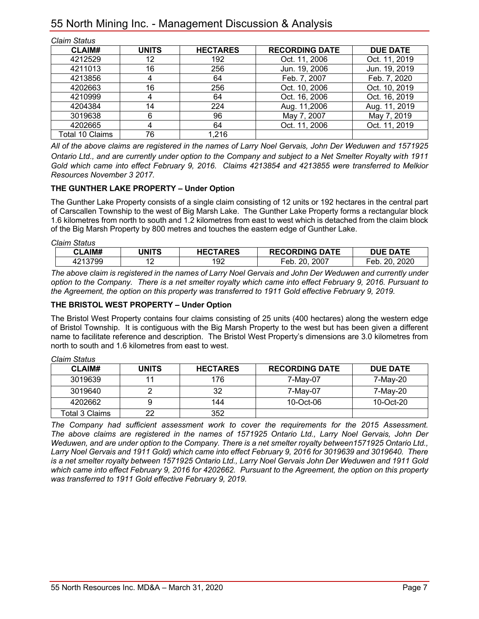| <b>Claim Status</b> |              |                 |                       |                 |
|---------------------|--------------|-----------------|-----------------------|-----------------|
| <b>CLAIM#</b>       | <b>UNITS</b> | <b>HECTARES</b> | <b>RECORDING DATE</b> | <b>DUE DATE</b> |
| 4212529             | 12           | 192             | Oct. 11, 2006         | Oct. 11, 2019   |
| 4211013             | 16           | 256             | Jun. 19, 2006         | Jun. 19, 2019   |
| 4213856             | 4            | 64              | Feb. 7, 2007          | Feb. 7, 2020    |
| 4202663             | 16           | 256             | Oct. 10, 2006         | Oct. 10, 2019   |
| 4210999             |              | 64              | Oct. 16, 2006         | Oct. 16, 2019   |
| 4204384             | 14           | 224             | Aug. 11,2006          | Aug. 11, 2019   |
| 3019638             | 6            | 96              | May 7, 2007           | May 7, 2019     |
| 4202665             | 4            | 64              | Oct. 11, 2006         | Oct. 11, 2019   |
| Total 10 Claims     | 76           | 1,216           |                       |                 |

*All of the above claims are registered in the names of Larry Noel Gervais, John Der Weduwen and 1571925 Ontario Ltd., and are currently under option to the Company and subject to a Net Smelter Royalty with 1911 Gold which came into effect February 9, 2016. Claims 4213854 and 4213855 were transferred to Melkior Resources November 3 2017.*

#### **THE GUNTHER LAKE PROPERTY – Under Option**

The Gunther Lake Property consists of a single claim consisting of 12 units or 192 hectares in the central part of Carscallen Township to the west of Big Marsh Lake. The Gunther Lake Property forms a rectangular block 1.6 kilometres from north to south and 1.2 kilometres from east to west which is detached from the claim block of the Big Marsh Property by 800 metres and touches the eastern edge of Gunther Lake.

*Claim Status*

| AIM#        | <b>JNITS</b> | <b>IECTARES</b> | <b>RECORDING DATE</b> | <b>DATE</b>        |
|-------------|--------------|-----------------|-----------------------|--------------------|
| 3799<br>4.1 |              | 92              | 2007<br>20.<br>-eb    | 2020<br>ററ<br>⊂eb. |

*The above claim is registered in the names of Larry Noel Gervais and John Der Weduwen and currently under option to the Company. There is a net smelter royalty which came into effect February 9, 2016. Pursuant to the Agreement, the option on this property was transferred to 1911 Gold effective February 9, 2019.*

### **THE BRISTOL WEST PROPERTY – Under Option**

The Bristol West Property contains four claims consisting of 25 units (400 hectares) along the western edge of Bristol Township. It is contiguous with the Big Marsh Property to the west but has been given a different name to facilitate reference and description. The Bristol West Property's dimensions are 3.0 kilometres from north to south and 1.6 kilometres from east to west.

| <u>onam oluluv</u> |              |                 |                       |                 |  |
|--------------------|--------------|-----------------|-----------------------|-----------------|--|
| CLAIM#             | <b>UNITS</b> | <b>HECTARES</b> | <b>RECORDING DATE</b> | <b>DUE DATE</b> |  |
| 3019639            |              | 176             | 7-May-07              | 7-May-20        |  |
| 3019640            |              | 32              | 7-May-07              | 7-May-20        |  |
| 4202662            |              | 144             | 10-Oct-06             | 10-Oct-20       |  |
| Total 3 Claims     | 22           | 352             |                       |                 |  |

*The Company had sufficient assessment work to cover the requirements for the 2015 Assessment. The above claims are registered in the names of 1571925 Ontario Ltd., Larry Noel Gervais, John Der Weduwen, and are under option to the Company. There is a net smelter royalty between1571925 Ontario Ltd., Larry Noel Gervais and 1911 Gold) which came into effect February 9, 2016 for 3019639 and 3019640. There is a net smelter royalty between 1571925 Ontario Ltd., Larry Noel Gervais John Der Weduwen and 1911 Gold which came into effect February 9, 2016 for 4202662. Pursuant to the Agreement, the option on this property was transferred to 1911 Gold effective February 9, 2019.*

*Claim Status*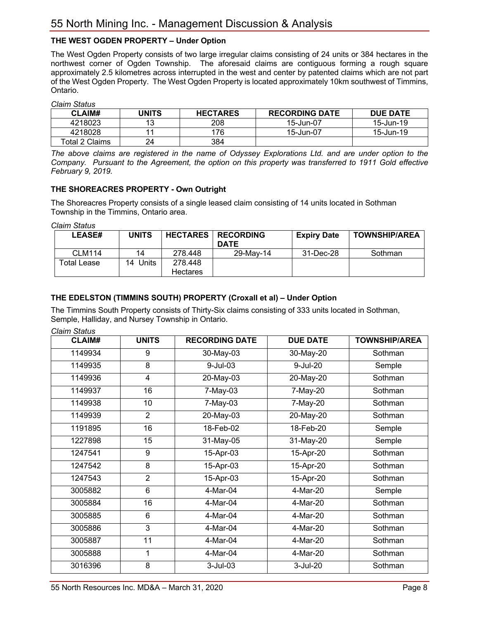# **THE WEST OGDEN PROPERTY – Under Option**

The West Ogden Property consists of two large irregular claims consisting of 24 units or 384 hectares in the northwest corner of Ogden Township. The aforesaid claims are contiguous forming a rough square approximately 2.5 kilometres across interrupted in the west and center by patented claims which are not part of the West Ogden Property. The West Ogden Property is located approximately 10km southwest of Timmins, Ontario.

*Claim Status*

| <b>CLAIM#</b>  | UNITS | <b>HECTARES</b> | <b>RECORDING DATE</b> | <b>DUE DATE</b> |  |
|----------------|-------|-----------------|-----------------------|-----------------|--|
| 4218023        | 13    | 208             | 15-Jun-07             | 15-Jun-19       |  |
| 4218028        |       | 76              | 15-Jun-07             | 15-Jun-19       |  |
| Total 2 Claims | 24    | 384             |                       |                 |  |

*The above claims are registered in the name of Odyssey Explorations Ltd. and are under option to the Company. Pursuant to the Agreement, the option on this property was transferred to 1911 Gold effective February 9, 2019.*

#### **THE SHOREACRES PROPERTY - Own Outright**

The Shoreacres Property consists of a single leased claim consisting of 14 units located in Sothman Township in the Timmins, Ontario area.

*Claim Status*

| <b>LEASE#</b>      | <b>UNITS</b> | <b>HECTARES</b> | <b>RECORDING</b><br><b>DATE</b> | <b>Expiry Date</b> | <b>TOWNSHIP/AREA</b> |
|--------------------|--------------|-----------------|---------------------------------|--------------------|----------------------|
| <b>CLM114</b>      | 14           | 278.448         | 29-May-14                       | 31-Dec-28          | Sothman              |
| <b>Total Lease</b> | 14 Units     | 278.448         |                                 |                    |                      |
|                    |              | Hectares        |                                 |                    |                      |

#### **THE EDELSTON (TIMMINS SOUTH) PROPERTY (Croxall et al) – Under Option**

The Timmins South Property consists of Thirty-Six claims consisting of 333 units located in Sothman, Semple, Halliday, and Nursey Township in Ontario.

*Claim Status*

| <b>CLAIM#</b> | <b>UNITS</b>   | <b>RECORDING DATE</b> | <b>DUE DATE</b> | <b>TOWNSHIP/AREA</b> |
|---------------|----------------|-----------------------|-----------------|----------------------|
| 1149934       | 9              | 30-May-03             | 30-May-20       |                      |
| 1149935       | 8              | 9-Jul-03              | 9-Jul-20        | Semple               |
| 1149936       | 4              | 20-May-03             | 20-May-20       | Sothman              |
| 1149937       | 16             | 7-May-03              | 7-May-20        | Sothman              |
| 1149938       | 10             | $7-May-03$            | 7-May-20        | Sothman              |
| 1149939       | 2              | 20-May-03             | 20-May-20       | Sothman              |
| 1191895       | 16             | 18-Feb-02             | 18-Feb-20       | Semple               |
| 1227898       | 15             | 31-May-05             | 31-May-20       | Semple               |
| 1247541       | 9              | 15-Apr-03             | 15-Apr-20       | Sothman              |
| 1247542       | 8              | 15-Apr-03             | 15-Apr-20       | Sothman              |
| 1247543       | $\overline{2}$ | 15-Apr-03             | 15-Apr-20       | Sothman              |
| 3005882       | 6              | 4-Mar-04              | 4-Mar-20        | Semple               |
| 3005884       | 16             | 4-Mar-04              | 4-Mar-20        | Sothman              |
| 3005885       | 6              | 4-Mar-04              | 4-Mar-20        | Sothman              |
| 3005886       | $\overline{3}$ | 4-Mar-04              | 4-Mar-20        | Sothman              |
| 3005887       | 11             | 4-Mar-04              | 4-Mar-20        | Sothman              |
| 3005888       | 1              | 4-Mar-04              | 4-Mar-20        | Sothman              |
| 3016396       | 8              | $3$ -Jul-03           | 3-Jul-20        | Sothman              |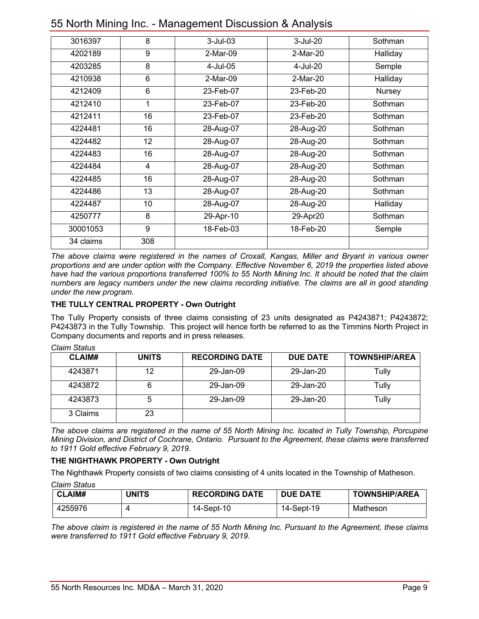| 3016397   | 8   | $3$ -Jul-03 | 3-Jul-20  | Sothman  |
|-----------|-----|-------------|-----------|----------|
| 4202189   | 9   | 2-Mar-09    | 2-Mar-20  | Halliday |
| 4203285   | 8   | 4-Jul-05    | 4-Jul-20  | Semple   |
| 4210938   | 6   | 2-Mar-09    | 2-Mar-20  | Halliday |
| 4212409   | 6   | 23-Feb-07   | 23-Feb-20 | Nursey   |
| 4212410   | 1   | 23-Feb-07   | 23-Feb-20 | Sothman  |
| 4212411   | 16  | 23-Feb-07   | 23-Feb-20 | Sothman  |
| 4224481   | 16  | 28-Aug-07   | 28-Aug-20 | Sothman  |
| 4224482   | 12  | 28-Aug-07   | 28-Aug-20 | Sothman  |
| 4224483   | 16  | 28-Aug-07   | 28-Aug-20 | Sothman  |
| 4224484   | 4   | 28-Aug-07   | 28-Aug-20 | Sothman  |
| 4224485   | 16  | 28-Aug-07   | 28-Aug-20 | Sothman  |
| 4224486   | 13  | 28-Aug-07   | 28-Aug-20 | Sothman  |
| 4224487   | 10  | 28-Aug-07   | 28-Aug-20 | Halliday |
| 4250777   | 8   | 29-Apr-10   | 29-Apr20  | Sothman  |
| 30001053  | 9   | 18-Feb-03   | 18-Feb-20 | Semple   |
| 34 claims | 308 |             |           |          |

# 55 North Mining Inc. - Management Discussion & Analysis

*The above claims were registered in the names of Croxall, Kangas, Miller and Bryant in various owner proportions and are under option with the Company. Effective November 6, 2019 the properties listed above have had the various proportions transferred 100% to 55 North Mining Inc. It should be noted that the claim numbers are legacy numbers under the new claims recording initiative. The claims are all in good standing under the new program.*

# **THE TULLY CENTRAL PROPERTY - Own Outright**

The Tully Property consists of three claims consisting of 23 units designated as P4243871; P4243872; P4243873 in the Tully Township. This project will hence forth be referred to as the Timmins North Project in Company documents and reports and in press releases.

| <b>CLAIM#</b> | <b>UNITS</b> | <b>RECORDING DATE</b> | <b>DUE DATE</b> | <b>TOWNSHIP/AREA</b> |
|---------------|--------------|-----------------------|-----------------|----------------------|
| 4243871       | 12           | 29-Jan-09             | 29-Jan-20       | Tully                |
| 4243872       |              | 29-Jan-09             | 29-Jan-20       | Tully                |
| 4243873       | 5            | 29-Jan-09             | 29-Jan-20       | Tully                |
| 3 Claims      | 23           |                       |                 |                      |

#### *Claim Status*

*The above claims are registered in the name of 55 North Mining Inc. located in Tully Township, Porcupine Mining Division, and District of Cochrane, Ontario. Pursuant to the Agreement, these claims were transferred to 1911 Gold effective February 9, 2019.*

#### **THE NIGHTHAWK PROPERTY - Own Outright**

The Nighthawk Property consists of two claims consisting of 4 units located in the Township of Matheson.

*Claim Status*

| <b>CLAIM#</b> | UNITS | <b>RECORDING DATE</b> | <b>DUE DATE</b> | <b>TOWNSHIP/AREA</b> |
|---------------|-------|-----------------------|-----------------|----------------------|
| 4255976       |       | 14-Sept-10            | 14-Sept-19      | Matheson             |

*The above claim is registered in the name of 55 North Mining Inc. Pursuant to the Agreement, these claims were transferred to 1911 Gold effective February 9, 2019.*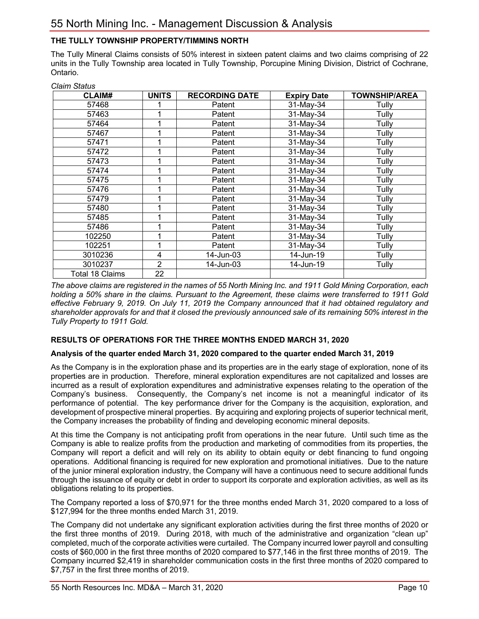# **THE TULLY TOWNSHIP PROPERTY/TIMMINS NORTH**

*Claim Status*

The Tully Mineral Claims consists of 50% interest in sixteen patent claims and two claims comprising of 22 units in the Tully Township area located in Tully Township, Porcupine Mining Division, District of Cochrane, Ontario.

| oiuiiii otutuo         |              |                       |                    |                      |  |  |
|------------------------|--------------|-----------------------|--------------------|----------------------|--|--|
| <b>CLAIM#</b>          | <b>UNITS</b> | <b>RECORDING DATE</b> | <b>Expiry Date</b> | <b>TOWNSHIP/AREA</b> |  |  |
| 57468                  |              | Patent                | 31-May-34          | Tully                |  |  |
| 57463                  |              | Patent                | 31-May-34          | Tully                |  |  |
| 57464                  |              | Patent                | 31-May-34          | Tully                |  |  |
| 57467                  |              | Patent                | 31-May-34          | Tully                |  |  |
| 57471                  |              | Patent                | 31-May-34          | Tully                |  |  |
| 57472                  |              | Patent                | 31-May-34          | Tully                |  |  |
| 57473                  | 1            | Patent                | 31-May-34          | Tully                |  |  |
| 57474                  | 1            | Patent                | 31-May-34          | Tully                |  |  |
| 57475                  | 1            | Patent                | 31-May-34          | Tully                |  |  |
| 57476                  | 1            | Patent                | 31-May-34          | Tully                |  |  |
| 57479                  | 1            | Patent                | 31-May-34          | Tully                |  |  |
| 57480                  |              | Patent                | 31-May-34          | Tully                |  |  |
| 57485                  | 1            | Patent                | 31-May-34          | Tully                |  |  |
| 57486                  |              | Patent                | 31-May-34          | Tully                |  |  |
| 102250                 | 4            | Patent                | 31-May-34          | Tully                |  |  |
| 102251                 | 1            | Patent                | 31-May-34          | Tully                |  |  |
| 3010236                | 4            | 14-Jun-03             | 14-Jun-19          | Tully                |  |  |
| 3010237                | 2            | 14-Jun-03             | 14-Jun-19          | Tully                |  |  |
| <b>Total 18 Claims</b> | 22           |                       |                    |                      |  |  |

*The above claims are registered in the names of 55 North Mining Inc. and 1911 Gold Mining Corporation, each holding a 50% share in the claims. Pursuant to the Agreement, these claims were transferred to 1911 Gold effective February 9, 2019. On July 11, 2019 the Company announced that it had obtained regulatory and shareholder approvals for and that it closed the previously announced sale of its remaining 50% interest in the Tully Property to 1911 Gold.* 

# **RESULTS OF OPERATIONS FOR THE THREE MONTHS ENDED MARCH 31, 2020**

#### **Analysis of the quarter ended March 31, 2020 compared to the quarter ended March 31, 2019**

As the Company is in the exploration phase and its properties are in the early stage of exploration, none of its properties are in production. Therefore, mineral exploration expenditures are not capitalized and losses are incurred as a result of exploration expenditures and administrative expenses relating to the operation of the Company's business. Consequently, the Company's net income is not a meaningful indicator of its performance of potential. The key performance driver for the Company is the acquisition, exploration, and development of prospective mineral properties. By acquiring and exploring projects of superior technical merit, the Company increases the probability of finding and developing economic mineral deposits.

At this time the Company is not anticipating profit from operations in the near future. Until such time as the Company is able to realize profits from the production and marketing of commodities from its properties, the Company will report a deficit and will rely on its ability to obtain equity or debt financing to fund ongoing operations. Additional financing is required for new exploration and promotional initiatives. Due to the nature of the junior mineral exploration industry, the Company will have a continuous need to secure additional funds through the issuance of equity or debt in order to support its corporate and exploration activities, as well as its obligations relating to its properties.

The Company reported a loss of \$70,971 for the three months ended March 31, 2020 compared to a loss of \$127,994 for the three months ended March 31, 2019.

The Company did not undertake any significant exploration activities during the first three months of 2020 or the first three months of 2019. During 2018, with much of the administrative and organization "clean up" completed, much of the corporate activities were curtailed. The Company incurred lower payroll and consulting costs of \$60,000 in the first three months of 2020 compared to \$77,146 in the first three months of 2019. The Company incurred \$2,419 in shareholder communication costs in the first three months of 2020 compared to \$7,757 in the first three months of 2019.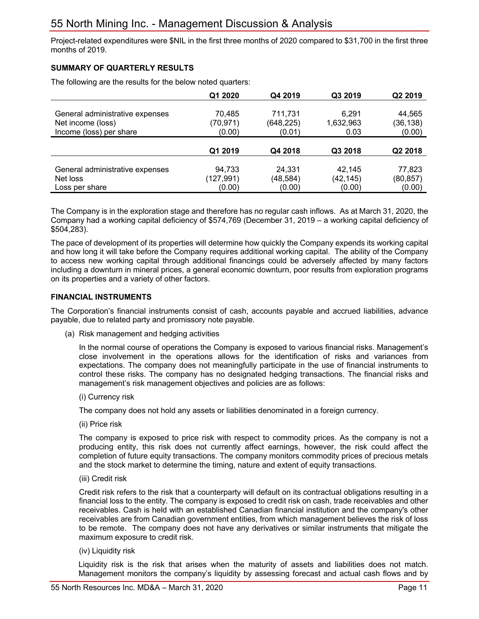Project-related expenditures were \$NIL in the first three months of 2020 compared to \$31,700 in the first three months of 2019.

#### **SUMMARY OF QUARTERLY RESULTS**

The following are the results for the below noted quarters:

|                                 | Q1 2020   | Q4 2019    | Q3 2019   | Q2 2019   |
|---------------------------------|-----------|------------|-----------|-----------|
|                                 |           |            |           |           |
| General administrative expenses | 70,485    | 711,731    | 6.291     | 44,565    |
| Net income (loss)               | (70, 971) | (648, 225) | 1,632,963 | (36,138)  |
| Income (loss) per share         | (0.00)    | (0.01)     | 0.03      | (0.00)    |
|                                 |           |            |           |           |
|                                 | Q1 2019   | Q4 2018    | Q3 2018   | Q2 2018   |
|                                 |           |            |           |           |
| General administrative expenses | 94,733    | 24,331     | 42.145    | 77,823    |
| Net loss                        | (127,991) | (48, 584)  | (42, 145) | (80, 857) |
| Loss per share                  | (0.00)    | (0.00)     | (0.00)    | (0.00)    |

The Company is in the exploration stage and therefore has no regular cash inflows. As at March 31, 2020, the Company had a working capital deficiency of \$574,769 (December 31, 2019 – a working capital deficiency of \$504,283).

The pace of development of its properties will determine how quickly the Company expends its working capital and how long it will take before the Company requires additional working capital. The ability of the Company to access new working capital through additional financings could be adversely affected by many factors including a downturn in mineral prices, a general economic downturn, poor results from exploration programs on its properties and a variety of other factors.

#### **FINANCIAL INSTRUMENTS**

The Corporation's financial instruments consist of cash, accounts payable and accrued liabilities, advance payable, due to related party and promissory note payable.

(a) Risk management and hedging activities

In the normal course of operations the Company is exposed to various financial risks. Management's close involvement in the operations allows for the identification of risks and variances from expectations. The company does not meaningfully participate in the use of financial instruments to control these risks. The company has no designated hedging transactions. The financial risks and management's risk management objectives and policies are as follows:

(i) Currency risk

The company does not hold any assets or liabilities denominated in a foreign currency.

(ii) Price risk

The company is exposed to price risk with respect to commodity prices. As the company is not a producing entity, this risk does not currently affect earnings, however, the risk could affect the completion of future equity transactions. The company monitors commodity prices of precious metals and the stock market to determine the timing, nature and extent of equity transactions.

(iii) Credit risk

Credit risk refers to the risk that a counterparty will default on its contractual obligations resulting in a financial loss to the entity. The company is exposed to credit risk on cash, trade receivables and other receivables. Cash is held with an established Canadian financial institution and the company's other receivables are from Canadian government entities, from which management believes the risk of loss to be remote. The company does not have any derivatives or similar instruments that mitigate the maximum exposure to credit risk.

(iv) Liquidity risk

Liquidity risk is the risk that arises when the maturity of assets and liabilities does not match. Management monitors the company's liquidity by assessing forecast and actual cash flows and by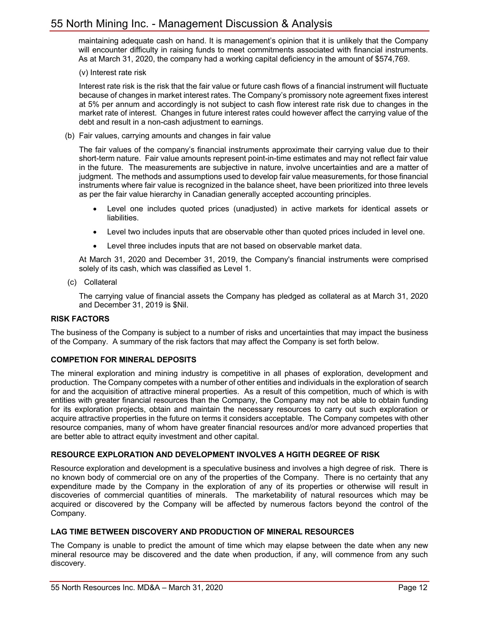maintaining adequate cash on hand. It is management's opinion that it is unlikely that the Company will encounter difficulty in raising funds to meet commitments associated with financial instruments. As at March 31, 2020, the company had a working capital deficiency in the amount of \$574,769.

(v) Interest rate risk

Interest rate risk is the risk that the fair value or future cash flows of a financial instrument will fluctuate because of changes in market interest rates. The Company's promissory note agreement fixes interest at 5% per annum and accordingly is not subject to cash flow interest rate risk due to changes in the market rate of interest. Changes in future interest rates could however affect the carrying value of the debt and result in a non-cash adjustment to earnings.

(b) Fair values, carrying amounts and changes in fair value

The fair values of the company's financial instruments approximate their carrying value due to their short-term nature. Fair value amounts represent point-in-time estimates and may not reflect fair value in the future. The measurements are subjective in nature, involve uncertainties and are a matter of judgment. The methods and assumptions used to develop fair value measurements, for those financial instruments where fair value is recognized in the balance sheet, have been prioritized into three levels as per the fair value hierarchy in Canadian generally accepted accounting principles.

- Level one includes quoted prices (unadjusted) in active markets for identical assets or liabilities.
- Level two includes inputs that are observable other than quoted prices included in level one.
- Level three includes inputs that are not based on observable market data.

At March 31, 2020 and December 31, 2019, the Company's financial instruments were comprised solely of its cash, which was classified as Level 1.

(c) Collateral

The carrying value of financial assets the Company has pledged as collateral as at March 31, 2020 and December 31, 2019 is \$Nil.

#### **RISK FACTORS**

The business of the Company is subject to a number of risks and uncertainties that may impact the business of the Company. A summary of the risk factors that may affect the Company is set forth below.

#### **COMPETION FOR MINERAL DEPOSITS**

The mineral exploration and mining industry is competitive in all phases of exploration, development and production. The Company competes with a number of other entities and individuals in the exploration of search for and the acquisition of attractive mineral properties. As a result of this competition, much of which is with entities with greater financial resources than the Company, the Company may not be able to obtain funding for its exploration projects, obtain and maintain the necessary resources to carry out such exploration or acquire attractive properties in the future on terms it considers acceptable. The Company competes with other resource companies, many of whom have greater financial resources and/or more advanced properties that are better able to attract equity investment and other capital.

#### **RESOURCE EXPLORATION AND DEVELOPMENT INVOLVES A HGITH DEGREE OF RISK**

Resource exploration and development is a speculative business and involves a high degree of risk. There is no known body of commercial ore on any of the properties of the Company. There is no certainty that any expenditure made by the Company in the exploration of any of its properties or otherwise will result in discoveries of commercial quantities of minerals. The marketability of natural resources which may be acquired or discovered by the Company will be affected by numerous factors beyond the control of the Company.

#### **LAG TIME BETWEEN DISCOVERY AND PRODUCTION OF MINERAL RESOURCES**

The Company is unable to predict the amount of time which may elapse between the date when any new mineral resource may be discovered and the date when production, if any, will commence from any such discovery.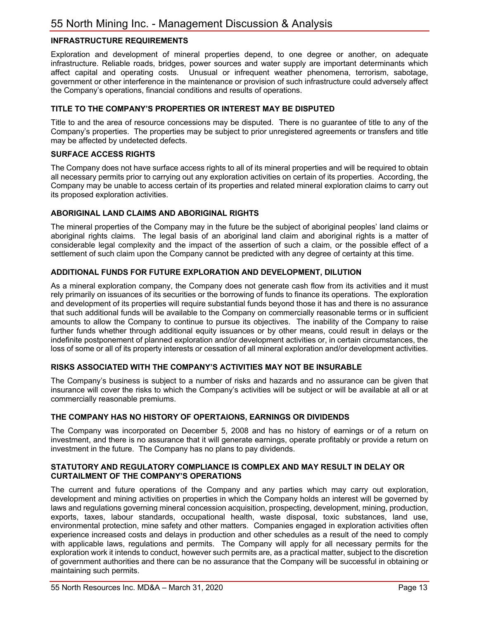# **INFRASTRUCTURE REQUIREMENTS**

Exploration and development of mineral properties depend, to one degree or another, on adequate infrastructure. Reliable roads, bridges, power sources and water supply are important determinants which affect capital and operating costs. Unusual or infrequent weather phenomena, terrorism, sabotage, government or other interference in the maintenance or provision of such infrastructure could adversely affect the Company's operations, financial conditions and results of operations.

#### **TITLE TO THE COMPANY'S PROPERTIES OR INTEREST MAY BE DISPUTED**

Title to and the area of resource concessions may be disputed. There is no guarantee of title to any of the Company's properties. The properties may be subject to prior unregistered agreements or transfers and title may be affected by undetected defects.

#### **SURFACE ACCESS RIGHTS**

The Company does not have surface access rights to all of its mineral properties and will be required to obtain all necessary permits prior to carrying out any exploration activities on certain of its properties. According, the Company may be unable to access certain of its properties and related mineral exploration claims to carry out its proposed exploration activities.

#### **ABORIGINAL LAND CLAIMS AND ABORIGINAL RIGHTS**

The mineral properties of the Company may in the future be the subject of aboriginal peoples' land claims or aboriginal rights claims. The legal basis of an aboriginal land claim and aboriginal rights is a matter of considerable legal complexity and the impact of the assertion of such a claim, or the possible effect of a settlement of such claim upon the Company cannot be predicted with any degree of certainty at this time.

#### **ADDITIONAL FUNDS FOR FUTURE EXPLORATION AND DEVELOPMENT, DILUTION**

As a mineral exploration company, the Company does not generate cash flow from its activities and it must rely primarily on issuances of its securities or the borrowing of funds to finance its operations. The exploration and development of its properties will require substantial funds beyond those it has and there is no assurance that such additional funds will be available to the Company on commercially reasonable terms or in sufficient amounts to allow the Company to continue to pursue its objectives. The inability of the Company to raise further funds whether through additional equity issuances or by other means, could result in delays or the indefinite postponement of planned exploration and/or development activities or, in certain circumstances, the loss of some or all of its property interests or cessation of all mineral exploration and/or development activities.

#### **RISKS ASSOCIATED WITH THE COMPANY'S ACTIVITIES MAY NOT BE INSURABLE**

The Company's business is subject to a number of risks and hazards and no assurance can be given that insurance will cover the risks to which the Company's activities will be subject or will be available at all or at commercially reasonable premiums.

#### **THE COMPANY HAS NO HISTORY OF OPERTAIONS, EARNINGS OR DIVIDENDS**

The Company was incorporated on December 5, 2008 and has no history of earnings or of a return on investment, and there is no assurance that it will generate earnings, operate profitably or provide a return on investment in the future. The Company has no plans to pay dividends.

#### **STATUTORY AND REGULATORY COMPLIANCE IS COMPLEX AND MAY RESULT IN DELAY OR CURTAILMENT OF THE COMPANY'S OPERATIONS**

The current and future operations of the Company and any parties which may carry out exploration, development and mining activities on properties in which the Company holds an interest will be governed by laws and regulations governing mineral concession acquisition, prospecting, development, mining, production, exports, taxes, labour standards, occupational health, waste disposal, toxic substances, land use, environmental protection, mine safety and other matters. Companies engaged in exploration activities often experience increased costs and delays in production and other schedules as a result of the need to comply with applicable laws, regulations and permits. The Company will apply for all necessary permits for the exploration work it intends to conduct, however such permits are, as a practical matter, subject to the discretion of government authorities and there can be no assurance that the Company will be successful in obtaining or maintaining such permits.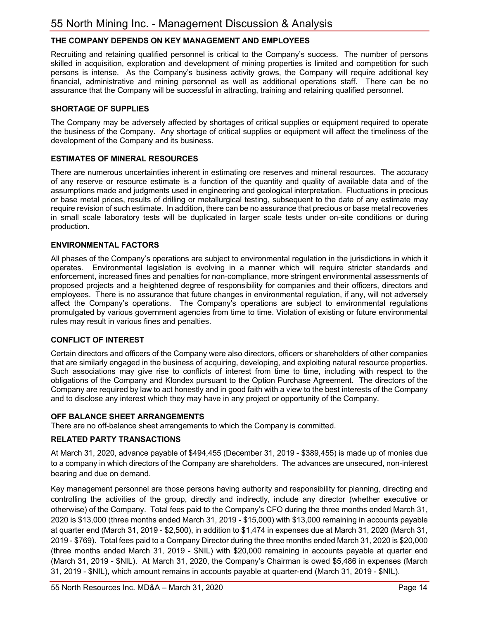# **THE COMPANY DEPENDS ON KEY MANAGEMENT AND EMPLOYEES**

Recruiting and retaining qualified personnel is critical to the Company's success. The number of persons skilled in acquisition, exploration and development of mining properties is limited and competition for such persons is intense. As the Company's business activity grows, the Company will require additional key financial, administrative and mining personnel as well as additional operations staff. There can be no assurance that the Company will be successful in attracting, training and retaining qualified personnel.

#### **SHORTAGE OF SUPPLIES**

The Company may be adversely affected by shortages of critical supplies or equipment required to operate the business of the Company. Any shortage of critical supplies or equipment will affect the timeliness of the development of the Company and its business.

#### **ESTIMATES OF MINERAL RESOURCES**

There are numerous uncertainties inherent in estimating ore reserves and mineral resources. The accuracy of any reserve or resource estimate is a function of the quantity and quality of available data and of the assumptions made and judgments used in engineering and geological interpretation. Fluctuations in precious or base metal prices, results of drilling or metallurgical testing, subsequent to the date of any estimate may require revision of such estimate. In addition, there can be no assurance that precious or base metal recoveries in small scale laboratory tests will be duplicated in larger scale tests under on-site conditions or during production.

#### **ENVIRONMENTAL FACTORS**

All phases of the Company's operations are subject to environmental regulation in the jurisdictions in which it operates. Environmental legislation is evolving in a manner which will require stricter standards and enforcement, increased fines and penalties for non-compliance, more stringent environmental assessments of proposed projects and a heightened degree of responsibility for companies and their officers, directors and employees. There is no assurance that future changes in environmental regulation, if any, will not adversely affect the Company's operations. The Company's operations are subject to environmental regulations promulgated by various government agencies from time to time. Violation of existing or future environmental rules may result in various fines and penalties.

#### **CONFLICT OF INTEREST**

Certain directors and officers of the Company were also directors, officers or shareholders of other companies that are similarly engaged in the business of acquiring, developing, and exploiting natural resource properties. Such associations may give rise to conflicts of interest from time to time, including with respect to the obligations of the Company and Klondex pursuant to the Option Purchase Agreement. The directors of the Company are required by law to act honestly and in good faith with a view to the best interests of the Company and to disclose any interest which they may have in any project or opportunity of the Company.

#### **OFF BALANCE SHEET ARRANGEMENTS**

There are no off-balance sheet arrangements to which the Company is committed.

#### **RELATED PARTY TRANSACTIONS**

At March 31, 2020, advance payable of \$494,455 (December 31, 2019 - \$389,455) is made up of monies due to a company in which directors of the Company are shareholders. The advances are unsecured, non-interest bearing and due on demand.

Key management personnel are those persons having authority and responsibility for planning, directing and controlling the activities of the group, directly and indirectly, include any director (whether executive or otherwise) of the Company. Total fees paid to the Company's CFO during the three months ended March 31, 2020 is \$13,000 (three months ended March 31, 2019 - \$15,000) with \$13,000 remaining in accounts payable at quarter end (March 31, 2019 - \$2,500), in addition to \$1,474 in expenses due at March 31, 2020 (March 31, 2019 - \$769). Total fees paid to a Company Director during the three months ended March 31, 2020 is \$20,000 (three months ended March 31, 2019 - \$NIL) with \$20,000 remaining in accounts payable at quarter end (March 31, 2019 - \$NIL). At March 31, 2020, the Company's Chairman is owed \$5,486 in expenses (March 31, 2019 - \$NIL), which amount remains in accounts payable at quarter-end (March 31, 2019 - \$NIL).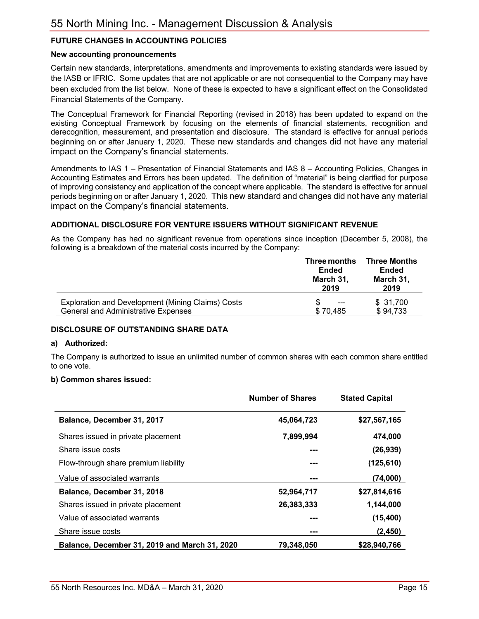# **FUTURE CHANGES in ACCOUNTING POLICIES**

#### **New accounting pronouncements**

Certain new standards, interpretations, amendments and improvements to existing standards were issued by the IASB or IFRIC. Some updates that are not applicable or are not consequential to the Company may have been excluded from the list below. None of these is expected to have a significant effect on the Consolidated Financial Statements of the Company.

The Conceptual Framework for Financial Reporting (revised in 2018) has been updated to expand on the existing Conceptual Framework by focusing on the elements of financial statements, recognition and derecognition, measurement, and presentation and disclosure. The standard is effective for annual periods beginning on or after January 1, 2020. These new standards and changes did not have any material impact on the Company's financial statements.

Amendments to IAS 1 – Presentation of Financial Statements and IAS 8 – Accounting Policies, Changes in Accounting Estimates and Errors has been updated. The definition of "material" is being clarified for purpose of improving consistency and application of the concept where applicable. The standard is effective for annual periods beginning on or after January 1, 2020. This new standard and changes did not have any material impact on the Company's financial statements.

#### **ADDITIONAL DISCLOSURE FOR VENTURE ISSUERS WITHOUT SIGNIFICANT REVENUE**

As the Company has had no significant revenue from operations since inception (December 5, 2008), the following is a breakdown of the material costs incurred by the Company:

|                                                   | Three months<br>Ended<br>March 31,<br>2019 | <b>Three Months</b><br><b>Ended</b><br>March 31,<br>2019 |
|---------------------------------------------------|--------------------------------------------|----------------------------------------------------------|
| Exploration and Development (Mining Claims) Costs | $---$                                      | \$31,700                                                 |
| <b>General and Administrative Expenses</b>        | \$70,485                                   | \$94,733                                                 |

#### **DISCLOSURE OF OUTSTANDING SHARE DATA**

#### **a) Authorized:**

The Company is authorized to issue an unlimited number of common shares with each common share entitled to one vote.

#### **b) Common shares issued:**

|                                               | <b>Number of Shares</b> | <b>Stated Capital</b> |
|-----------------------------------------------|-------------------------|-----------------------|
| Balance, December 31, 2017                    | 45,064,723              | \$27,567,165          |
| Shares issued in private placement            | 7,899,994               | 474,000               |
| Share issue costs                             | ---                     | (26, 939)             |
| Flow-through share premium liability          | ---                     | (125, 610)            |
| Value of associated warrants                  | ---                     | (74,000)              |
| Balance, December 31, 2018                    | 52,964,717              | \$27,814,616          |
| Shares issued in private placement            | 26,383,333              | 1,144,000             |
| Value of associated warrants                  | ---                     | (15, 400)             |
| Share issue costs                             | ---                     | (2, 450)              |
| Balance, December 31, 2019 and March 31, 2020 | 79.348.050              | \$28,940,766          |